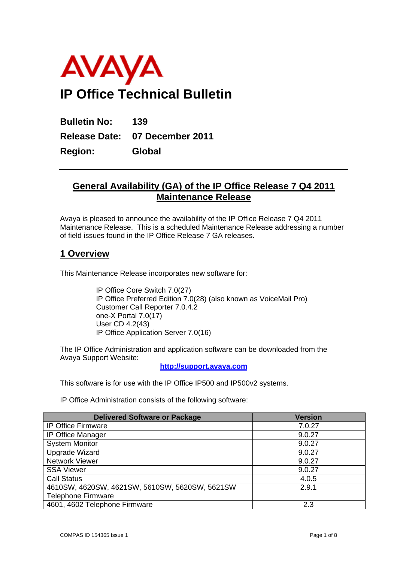

**Bulletin No: 139 Release Date: 07 December 2011 Region: Global** 

## **General Availability (GA) of the IP Office Release 7 Q4 2011 Maintenance Release**

Avaya is pleased to announce the availability of the IP Office Release 7 Q4 2011 Maintenance Release. This is a scheduled Maintenance Release addressing a number of field issues found in the IP Office Release 7 GA releases.

## **1 Overview**

This Maintenance Release incorporates new software for:

IP Office Core Switch 7.0(27) IP Office Preferred Edition 7.0(28) (also known as VoiceMail Pro) Customer Call Reporter 7.0.4.2 one-X Portal 7.0(17) User CD 4.2(43) IP Office Application Server 7.0(16)

The IP Office Administration and application software can be downloaded from the Avaya Support Website:

**http://support.avaya.com**

This software is for use with the IP Office IP500 and IP500v2 systems.

IP Office Administration consists of the following software:

| <b>Delivered Software or Package</b>           | <b>Version</b> |
|------------------------------------------------|----------------|
| <b>IP Office Firmware</b>                      | 7.0.27         |
| IP Office Manager                              | 9.0.27         |
| <b>System Monitor</b>                          | 9.0.27         |
| Upgrade Wizard                                 | 9.0.27         |
| Network Viewer                                 | 9.0.27         |
| <b>SSA Viewer</b>                              | 9.0.27         |
| <b>Call Status</b>                             | 4.0.5          |
| 4610SW, 4620SW, 4621SW, 5610SW, 5620SW, 5621SW | 2.9.1          |
| <b>Telephone Firmware</b>                      |                |
| 4601, 4602 Telephone Firmware                  | 2.3            |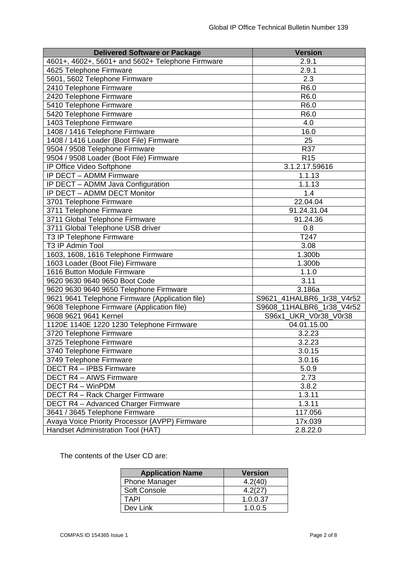| <b>Delivered Software or Package</b>             | <b>Version</b>            |
|--------------------------------------------------|---------------------------|
| 4601+, 4602+, 5601+ and 5602+ Telephone Firmware | 2.9.1                     |
| 4625 Telephone Firmware                          | 2.9.1                     |
| 5601, 5602 Telephone Firmware                    | 2.3                       |
| 2410 Telephone Firmware                          | R6.0                      |
| 2420 Telephone Firmware                          | R6.0                      |
| 5410 Telephone Firmware                          | R <sub>6.0</sub>          |
| 5420 Telephone Firmware                          | R <sub>6.0</sub>          |
| 1403 Telephone Firmware                          | 4.0                       |
| 1408 / 1416 Telephone Firmware                   | 16.0                      |
| 1408 / 1416 Loader (Boot File) Firmware          | 25                        |
| 9504 / 9508 Telephone Firmware                   | R37                       |
| 9504 / 9508 Loader (Boot File) Firmware          | <b>R15</b>                |
| IP Office Video Softphone                        | 3.1.2.17.59616            |
| IP DECT - ADMM Firmware                          | 1.1.13                    |
| IP DECT - ADMM Java Configuration                | 1.1.13                    |
| IP DECT - ADMM DECT Monitor                      | 1.4                       |
| 3701 Telephone Firmware                          | 22.04.04                  |
| 3711 Telephone Firmware                          | 91.24.31.04               |
| 3711 Global Telephone Firmware                   | 91.24.36                  |
| 3711 Global Telephone USB driver                 | 0.8                       |
| T3 IP Telephone Firmware                         | T247                      |
| T3 IP Admin Tool                                 | 3.08                      |
| 1603, 1608, 1616 Telephone Firmware              | 1.300b                    |
| 1603 Loader (Boot File) Firmware                 | 1.300b                    |
| 1616 Button Module Firmware                      | 1.1.0                     |
| 9620 9630 9640 9650 Boot Code                    | 3.11                      |
| 9620 9630 9640 9650 Telephone Firmware           | 3.186a                    |
| 9621 9641 Telephone Firmware (Application file)  | S9621_41HALBR6_1r38_V4r52 |
| 9608 Telephone Firmware (Application file)       | S9608_11HALBR6_1r38_V4r52 |
| 9608 9621 9641 Kernel                            | S96x1_UKR_V0r38_V0r38     |
| 1120E 1140E 1220 1230 Telephone Firmware         | 04.01.15.00               |
| 3720 Telephone Firmware                          | 3.2.23                    |
| 3725 Telephone Firmware                          | 3.2.23                    |
| 3740 Telephone Firmware                          | 3.0.15                    |
| 3749 Telephone Firmware                          | 3.0.16                    |
| DECT R4 - IPBS Firmware                          | 5.0.9                     |
| DECT R4 - AIWS Firmware                          | 2.73                      |
| <b>DECT R4 - WinPDM</b>                          | 3.8.2                     |
| DECT R4 - Rack Charger Firmware                  | 1.3.11                    |
| <b>DECT R4 - Advanced Charger Firmware</b>       | 1.3.11                    |
| 3641 / 3645 Telephone Firmware                   | 117.056                   |
| Avaya Voice Priority Processor (AVPP) Firmware   | 17x.039                   |
| Handset Administration Tool (HAT)                | 2.8.22.0                  |
|                                                  |                           |

The contents of the User CD are:

| <b>Application Name</b> | <b>Version</b> |
|-------------------------|----------------|
| <b>Phone Manager</b>    | 4.2(40)        |
| <b>Soft Console</b>     | 4.2(27)        |
| TAPI                    | 1.0.0.37       |
| Dev Link                | 1.0.0.5        |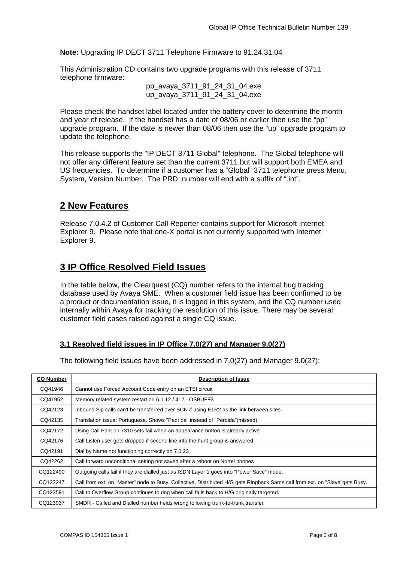**Note:** Upgrading IP DECT 3711 Telephone Firmware to 91.24.31.04

This Administration CD contains two upgrade programs with this release of 3711 telephone firmware:

> pp\_avaya\_3711\_91\_24\_31\_04.exe up avaya 3711 91 24 31 04.exe

Please check the handset label located under the battery cover to determine the month and year of release. If the handset has a date of 08/06 or earlier then use the "pp" upgrade program. If the date is newer than 08/06 then use the "up" upgrade program to update the telephone.

This release supports the "IP DECT 3711 Global" telephone. The Global telephone will not offer any different feature set than the current 3711 but will support both EMEA and US frequencies. To determine if a customer has a "Global" 3711 telephone press Menu, System, Version Number. The PRD: number will end with a suffix of ".int".

### **2 New Features**

Release 7.0.4.2 of Customer Call Reporter contains support for Microsoft Internet Explorer 9. Please note that one-X portal is not currently supported with Internet Explorer 9.

# **3 IP Office Resolved Field Issues**

In the table below, the Clearquest (CQ) number refers to the internal bug tracking database used by Avaya SME. When a customer field issue has been confirmed to be a product or documentation issue, it is logged in this system, and the CQ number used internally within Avaya for tracking the resolution of this issue. There may be several customer field cases raised against a single CQ issue.

### **3.1 Resolved field issues in IP Office 7.0(27) and Manager 9.0(27)**

The following field issues have been addressed in 7.0(27) and Manager 9.0(27):

| <b>CQ Number</b> | <b>Description of Issue</b>                                                                                                 |
|------------------|-----------------------------------------------------------------------------------------------------------------------------|
| CQ41946          | Cannot use Forced Account Code entry on an ETSI circuit                                                                     |
| CQ41952          | Memory related system restart on 6.1.12 / 412 - OSBUFF3                                                                     |
| CQ42123          | Inbound Sip calls can't be transferred over SCN if using E1R2 as the link between sites                                     |
| CQ42135          | Translation issue: Portuguese. Shows "Pedrida" instead of "Perdida"(missed).                                                |
| CQ42172          | Using Call Park on 7310 sets fail when an appearance button is already active                                               |
| CQ42176          | Call Listen user gets dropped if second line into the hunt group is answered                                                |
| CQ42191          | Dial by Name not functioning correctly on 7.0.23                                                                            |
| CQ42262          | Call forward unconditional setting not saved after a reboot on Nortel phones                                                |
| CQ122490         | Outgoing calls fail if they are dialled just as ISDN Layer 1 goes into "Power Save" mode.                                   |
| CQ123247         | Call from ext. on "Master" node to Busy, Collective, Distributed H/G gets Ringback.Same call from ext. on "Slave"gets Busy. |
| CQ123591         | Call to Overflow Group continues to ring when call falls back to H/G originally targeted.                                   |
| CQ123937         | SMDR - Called and Dialled number fields wrong following trunk-to-trunk transfer                                             |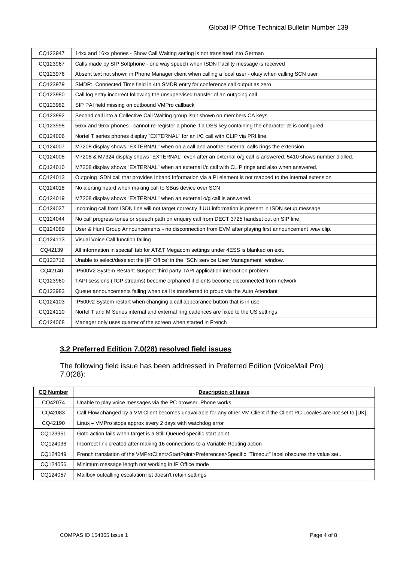| CQ123947 | 14xx and 16xx phones - Show Call Waiting setting is not translated into German                                 |  |
|----------|----------------------------------------------------------------------------------------------------------------|--|
| CQ123967 | Calls made by SIP Softphone - one way speech when ISDN Facility message is received                            |  |
| CQ123976 | Absent text not shown in Phone Manager client when calling a local user - okay when calling SCN user           |  |
| CQ123979 | SMDR: Connected Time field in 4th SMDR entry for conference call output as zero                                |  |
| CQ123980 | Call log entry incorrect following the unsupervised transfer of an outgoing call                               |  |
| CQ123982 | SIP PAI field missing on outbound VMPro callback                                                               |  |
| CQ123992 | Second call into a Collective Call Waiting group isn't shown on members CA keys                                |  |
| CQ123998 | 56xx and 96xx phones - cannot re-register a phone if a DSS key containing the character æ is configured        |  |
| CQ124006 | Nortel T series phones display "EXTERNAL" for an I/C call with CLIP via PRI line.                              |  |
| CQ124007 | M7208 display shows "EXTERNAL" when on a call and another external calls rings the extension.                  |  |
| CQ124008 | M7208 & M7324 display shows "EXTERNAL" even after an external o/g call is answered. 5410 shows number dialled. |  |
| CQ124010 | M7208 display shows "EXTERNAL" when an external i/c call with CLIP rings and also when answered.               |  |
| CQ124013 | Outgoing ISDN call that provides Inband Information via a PI element is not mapped to the internal extension   |  |
| CQ124018 | No alerting heard when making call to SBus device over SCN                                                     |  |
| CQ124019 | M7208 display shows "EXTERNAL" when an external o/q call is answered.                                          |  |
| CQ124027 | Incoming call from ISDN line will not target correctly if UU information is present in ISDN setup message      |  |
| CQ124044 | No call progress tones or speech path on enquiry call from DECT 3725 handset out on SIP line.                  |  |
| CQ124089 | User & Hunt Group Announcements - no disconnection from EVM after playing first announcement .wav clip.        |  |
| CQ124113 | Visual Voice Call function failing                                                                             |  |
| CQ42139  | All information in'special' tab for AT&T Megacom settings under 4ESS is blanked on exit.                       |  |
| CQ123716 | Unable to select/deselect the [IP Office] in the "SCN service User Management" window.                         |  |
| CQ42140  | IP500V2 System Restart: Suspect third party TAPI application interaction problem                               |  |
| CQ123960 | TAPI sessions (TCP streams) become orphaned if clients become disconnected from network                        |  |
| CQ123983 | Queue announcements failing when call is transferred to group via the Auto Attendant                           |  |
| CQ124103 | IP500v2 System restart when changing a call appearance button that is in use                                   |  |
| CQ124110 | Nortel T and M Series internal and external ring cadences are fixed to the US settings                         |  |
| CQ124068 | Manager only uses quarter of the screen when started in French                                                 |  |

### **3.2 Preferred Edition 7.0(28) resolved field issues**

The following field issue has been addressed in Preferred Edition (VoiceMail Pro) 7.0(28):

| <b>CQ Number</b> | <b>Description of Issue</b>                                                                                                |
|------------------|----------------------------------------------------------------------------------------------------------------------------|
| CQ42074          | Unable to play voice messages via the PC browser. Phone works                                                              |
| CQ42083          | Call Flow changed by a VM Client becomes unavailable for any other VM Client if the Client PC Locales are not set to [UK]. |
| CO42190          | Linux - VMPro stops approx every 2 days with watchdog error                                                                |
| CQ123951         | Goto action fails when target is a Still Queued specific start point.                                                      |
| CQ124038         | Incorrect link created after making 16 connections to a Variable Routing action                                            |
| CQ124049         | French translation of the VMProClient>StartPoint>Preferences>Specific "Timeout" label obscures the value set               |
| CQ124056         | Minimum message length not working in IP Office mode                                                                       |
| CQ124057         | Mailbox outcalling escalation list doesn't retain settings                                                                 |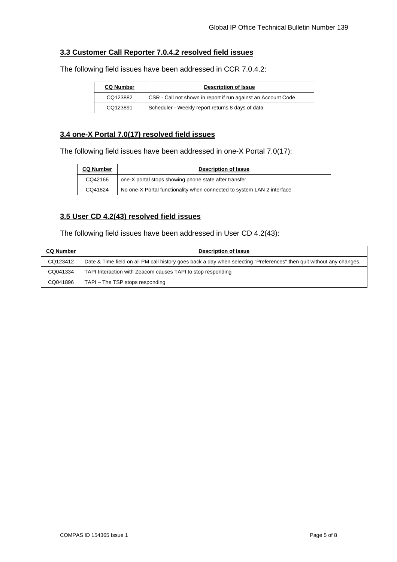### **3.3 Customer Call Reporter 7.0.4.2 resolved field issues**

The following field issues have been addressed in CCR 7.0.4.2:

| <b>CQ Number</b> | <b>Description of Issue</b>                                   |  |
|------------------|---------------------------------------------------------------|--|
| CQ123882         | CSR - Call not shown in report if run against an Account Code |  |
| CQ123891         | Scheduler - Weekly report returns 8 days of data              |  |

#### **3.4 one-X Portal 7.0(17) resolved field issues**

The following field issues have been addressed in one-X Portal 7.0(17):

| <b>CQ Number</b> | <b>Description of Issue</b>                                            |  |
|------------------|------------------------------------------------------------------------|--|
| CQ42166          | one-X portal stops showing phone state after transfer                  |  |
| CQ41824          | No one-X Portal functionality when connected to system LAN 2 interface |  |

### **3.5 User CD 4.2(43) resolved field issues**

The following field issues have been addressed in User CD 4.2(43):

| <b>CQ Number</b> | <b>Description of Issue</b>                                                                                          |
|------------------|----------------------------------------------------------------------------------------------------------------------|
| CQ123412         | Date & Time field on all PM call history goes back a day when selecting "Preferences" then quit without any changes. |
| CQ041334         | TAPI Interaction with Zeacom causes TAPI to stop responding                                                          |
| CQ041896         | TAPI – The TSP stops responding                                                                                      |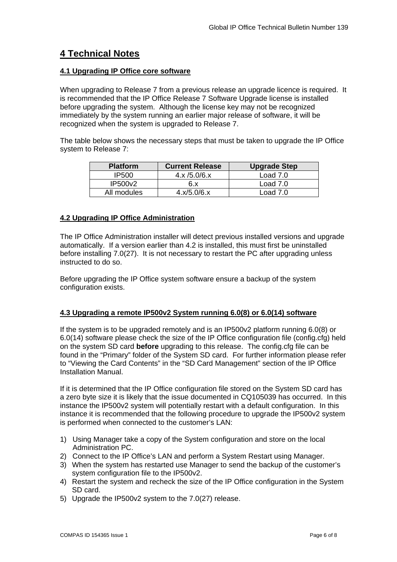# **4 Technical Notes**

#### **4.1 Upgrading IP Office core software**

When upgrading to Release 7 from a previous release an upgrade licence is required. It is recommended that the IP Office Release 7 Software Upgrade license is installed before upgrading the system. Although the license key may not be recognized immediately by the system running an earlier major release of software, it will be recognized when the system is upgraded to Release 7.

The table below shows the necessary steps that must be taken to upgrade the IP Office system to Release 7:

| <b>Platform</b> | <b>Current Release</b> | <b>Upgrade Step</b> |
|-----------------|------------------------|---------------------|
| IP500           | 4.x/5.0/6.x            | Load $7.0$          |
| IP500v2         | 6.x                    | Load 7.0            |
| All modules     | 4.x/5.0/6.x            | Load $7.0$          |

### **4.2 Upgrading IP Office Administration**

The IP Office Administration installer will detect previous installed versions and upgrade automatically. If a version earlier than 4.2 is installed, this must first be uninstalled before installing 7.0(27). It is not necessary to restart the PC after upgrading unless instructed to do so.

Before upgrading the IP Office system software ensure a backup of the system configuration exists.

### **4.3 Upgrading a remote IP500v2 System running 6.0(8) or 6.0(14) software**

If the system is to be upgraded remotely and is an IP500v2 platform running 6.0(8) or 6.0(14) software please check the size of the IP Office configuration file (config.cfg) held on the system SD card **before** upgrading to this release. The config.cfg file can be found in the "Primary" folder of the System SD card. For further information please refer to "Viewing the Card Contents" in the "SD Card Management" section of the IP Office Installation Manual.

If it is determined that the IP Office configuration file stored on the System SD card has a zero byte size it is likely that the issue documented in CQ105039 has occurred. In this instance the IP500v2 system will potentially restart with a default configuration. In this instance it is recommended that the following procedure to upgrade the IP500v2 system is performed when connected to the customer's LAN:

- 1) Using Manager take a copy of the System configuration and store on the local Administration PC.
- 2) Connect to the IP Office's LAN and perform a System Restart using Manager.
- 3) When the system has restarted use Manager to send the backup of the customer's system configuration file to the IP500v2.
- 4) Restart the system and recheck the size of the IP Office configuration in the System SD card.
- 5) Upgrade the IP500v2 system to the 7.0(27) release.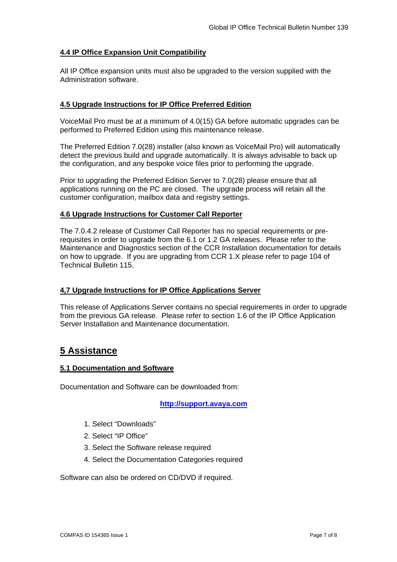#### **4.4 IP Office Expansion Unit Compatibility**

All IP Office expansion units must also be upgraded to the version supplied with the Administration software.

#### **4.5 Upgrade Instructions for IP Office Preferred Edition**

VoiceMail Pro must be at a minimum of 4.0(15) GA before automatic upgrades can be performed to Preferred Edition using this maintenance release.

The Preferred Edition 7.0(28) installer (also known as VoiceMail Pro) will automatically detect the previous build and upgrade automatically. It is always advisable to back up the configuration, and any bespoke voice files prior to performing the upgrade.

Prior to upgrading the Preferred Edition Server to 7.0(28) please ensure that all applications running on the PC are closed. The upgrade process will retain all the customer configuration, mailbox data and registry settings.

#### **4.6 Upgrade Instructions for Customer Call Reporter**

The 7.0.4.2 release of Customer Call Reporter has no special requirements or prerequisites in order to upgrade from the 6.1 or 1.2 GA releases. Please refer to the Maintenance and Diagnostics section of the CCR Installation documentation for details on how to upgrade. If you are upgrading from CCR 1.X please refer to page 104 of Technical Bulletin 115.

### **4,7 Upgrade Instructions for IP Office Applications Server**

This release of Applications Server contains no special requirements in order to upgrade from the previous GA release. Please refer to section 1.6 of the IP Office Application Server Installation and Maintenance documentation.

## **5 Assistance**

#### **5.1 Documentation and Software**

Documentation and Software can be downloaded from:

#### **http://support.avaya.com**

- 1. Select "Downloads"
- 2. Select "IP Office"
- 3. Select the Software release required
- 4. Select the Documentation Categories required

Software can also be ordered on CD/DVD if required.